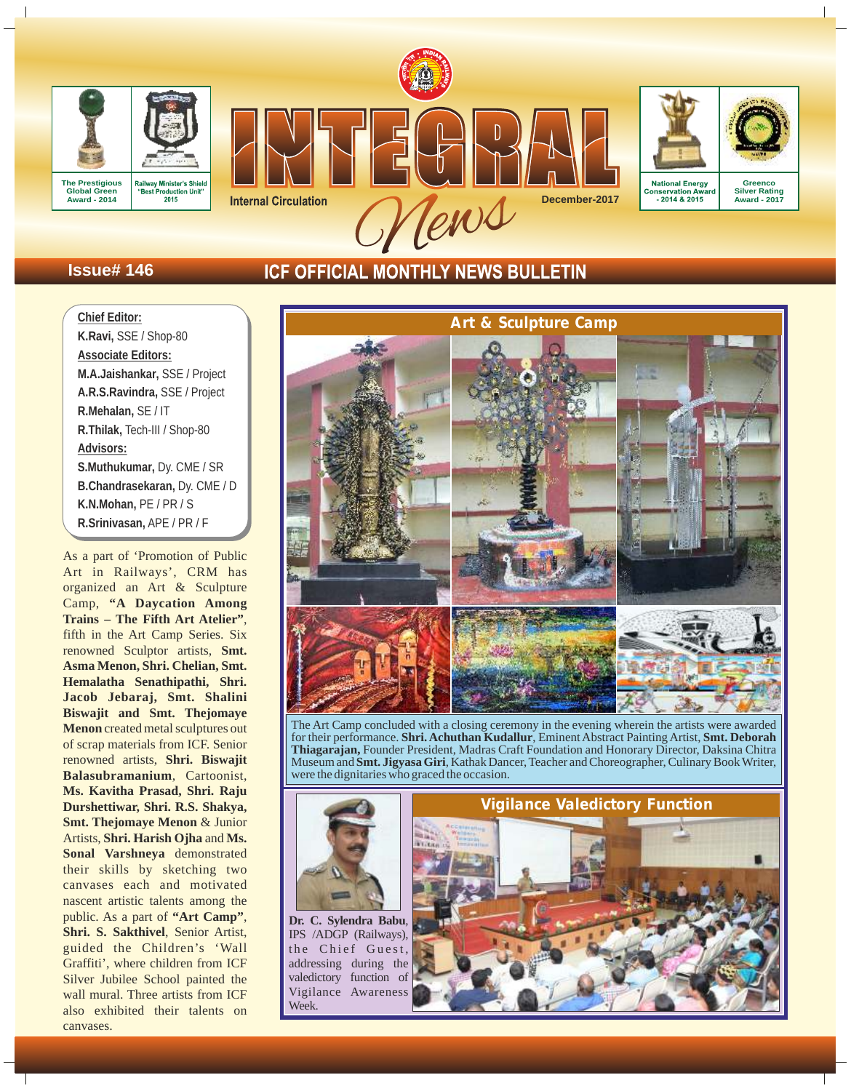







# **Issue# 146**

# **ICF OFFICIAL MONTHLY NEWS BULLETIN**

**Chief Editor: K.Ravi,** SSE / Shop-80 **Associate Editors: M.A.Jaishankar,** SSE / Project **A.R.S.Ravindra,** SSE / Project **R.Mehalan,** SE / IT **R.Thilak,** Tech-III / Shop-80 **Advisors: S.Muthukumar,** Dy. CME / SR **B.Chandrasekaran,** Dy. CME / D **K.N.Mohan,** PE / PR / S **R.Srinivasan,** APE / PR / F

As a part of 'Promotion of Public Art in Railways', CRM has organized an Art & Sculpture Camp, **"A Daycation Among Trains – The Fifth Art Atelier"**, fifth in the Art Camp Series. Six renowned Sculptor artists, **Smt. Asma Menon, Shri. Chelian, Smt. Hemalatha Senathipathi, Shri. Jacob Jebaraj, Smt. Shalini Biswajit and Smt. Thejomaye Menon** created metal sculptures out of scrap materials from ICF. Senior renowned artists, **Shri. Biswajit Balasubramanium**, Cartoonist, **Ms. Kavitha Prasad, Shri. Raju Durshettiwar, Shri. R.S. Shakya, Smt. Thejomaye Menon** & Junior Artists, **Shri. Harish Ojha** and **Ms. Sonal Varshneya** demonstrated their skills by sketching two canvases each and motivated nascent artistic talents among the public. As a part of **"Art Camp"**, **Shri. S. Sakthivel**, Senior Artist, guided the Children's 'Wall Graffiti', where children from ICF Silver Jubilee School painted the wall mural. Three artists from ICF also exhibited their talents on canvases.



The Art Camp concluded with a closing ceremony in the evening wherein the artists were awarded for their performance. **Shri. Achuthan Kudallur**, Eminent Abstract Painting Artist, **Smt. Deborah Thiagarajan,** Founder President, Madras Craft Foundation and Honorary Director, Daksina Chitra Museum and **Smt. Jigyasa Giri**, Kathak Dancer, Teacher and Choreographer, Culinary Book Writer, were the dignitaries who graced the occasion.



**Dr. C. Sylendra Babu**, IPS /ADGP (Railways), the Chief Guest, addressing during the valedictory function of Vigilance Awareness **Week** 

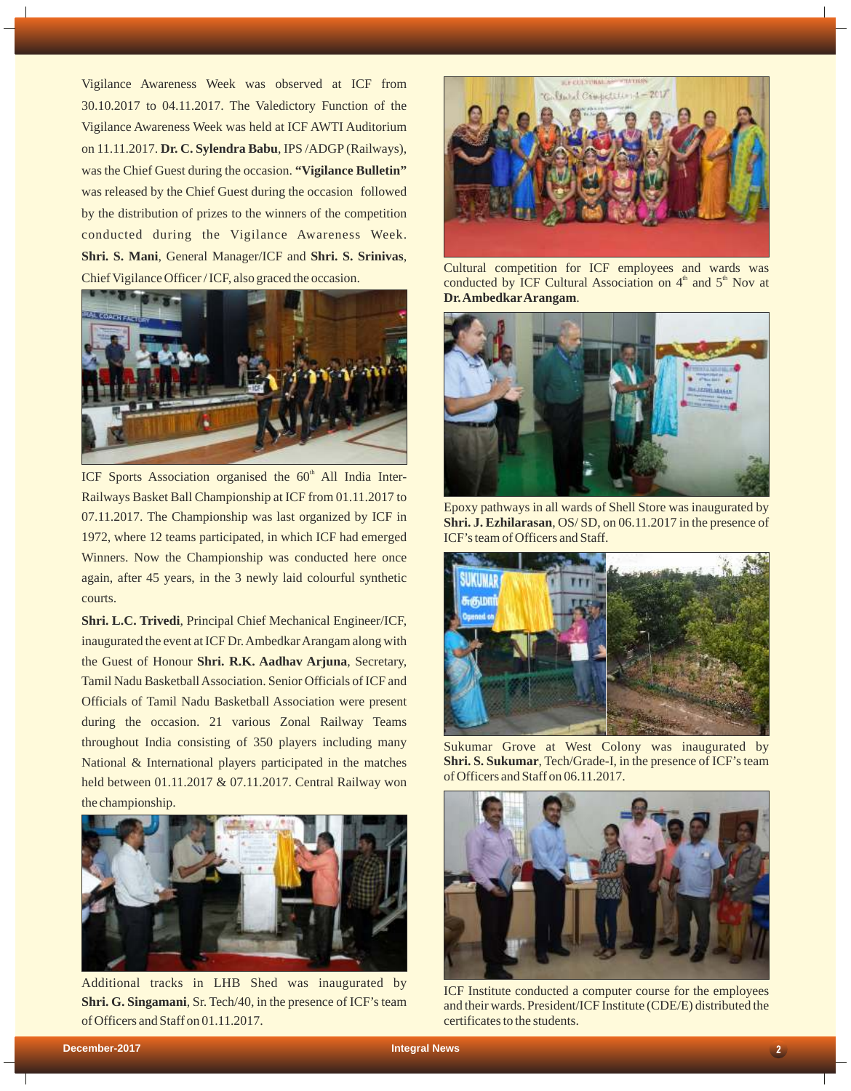Vigilance Awareness Week was observed at ICF from 30.10.2017 to 04.11.2017. The Valedictory Function of the Vigilance Awareness Week was held at ICF AWTI Auditorium on 11.11.2017. **Dr. C. Sylendra Babu**, IPS /ADGP(Railways), was the Chief Guest during the occasion. **"Vigilance Bulletin"** was released by the Chief Guest during the occasion followed by the distribution of prizes to the winners of the competition conducted during the Vigilance Awareness Week. **Shri. S. Mani**, General Manager/ICF and **Shri. S. Srinivas**, Chief Vigilance Officer / ICF, also graced the occasion.



ICF Sports Association organised the  $60<sup>th</sup>$  All India Inter-Railways Basket Ball Championship at ICF from 01.11.2017 to 07.11.2017. The Championship was last organized by ICF in 1972, where 12 teams participated, in which ICF had emerged Winners. Now the Championship was conducted here once again, after 45 years, in the 3 newly laid colourful synthetic courts.

**Shri. L.C. Trivedi**, Principal Chief Mechanical Engineer/ICF, inaugurated the event at ICF Dr. Ambedkar Arangam along with the Guest of Honour **Shri. R.K. Aadhav Arjuna**, Secretary, Tamil Nadu Basketball Association. Senior Officials of ICF and Officials of Tamil Nadu Basketball Association were present during the occasion. 21 various Zonal Railway Teams throughout India consisting of 350 players including many National & International players participated in the matches held between 01.11.2017 & 07.11.2017. Central Railway won the championship.



Additional tracks in LHB Shed was inaugurated by **Shri. G. Singamani**, Sr. Tech/40, in the presence of ICF's team of Officers and Staff on 01.11.2017.



Cultural competition for ICF employees and wards was conducted by ICF Cultural Association on  $4<sup>th</sup>$  and  $5<sup>th</sup>$  Nov at **Dr. AmbedkarArangam**.



Epoxy pathways in all wards of Shell Store was inaugurated by **Shri. J. Ezhilarasan**, OS/ SD, on 06.11.2017 in the presence of ICF's team of Officers and Staff.



Sukumar Grove at West Colony was inaugurated by **Shri. S. Sukumar**, Tech/Grade-I, in the presence of ICF's team of Officers and Staff on 06.11.2017.



ICF Institute conducted a computer course for the employees and their wards. President/ICF Institute (CDE/E) distributed the certificates to the students.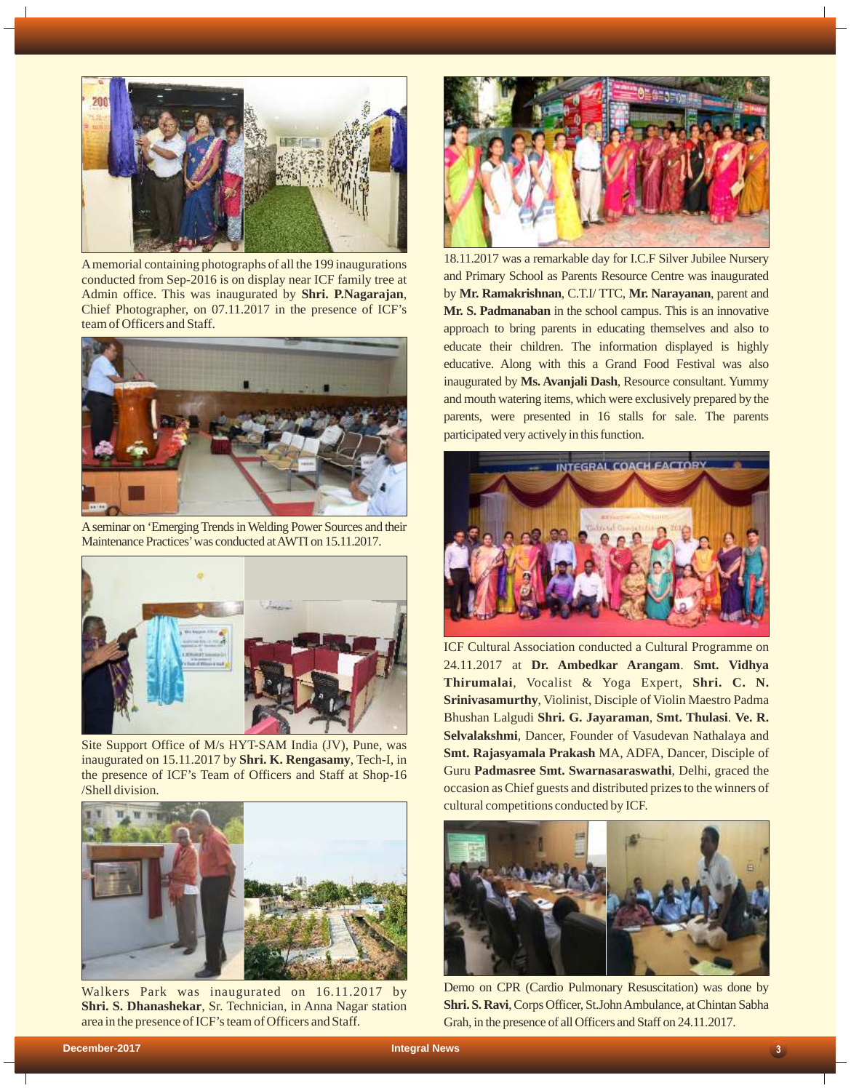

Amemorial containing photographs of all the 199 inaugurations conducted from Sep-2016 is on display near ICF family tree at Admin office. This was inaugurated by **Shri. P.Nagarajan**, Chief Photographer, on 07.11.2017 in the presence of ICF's team of Officers and Staff.



Aseminar on 'Emerging Trends in Welding Power Sources and their Maintenance Practices'was conducted at AWTI on 15.11.2017.



Site Support Office of M/s HYT-SAM India (JV), Pune, was inaugurated on 15.11.2017 by **Shri. K. Rengasamy**, Tech-I, in the presence of ICF's Team of Officers and Staff at Shop-16 /Shell division.



Walkers Park was inaugurated on 16.11.2017 by **Shri. S. Dhanashekar**, Sr. Technician, in Anna Nagar station area in the presence of ICF's team of Officers and Staff.



18.11.2017 was a remarkable day for I.C.F Silver Jubilee Nursery and Primary School as Parents Resource Centre was inaugurated by **Mr. Ramakrishnan**, C.T.I/ TTC, **Mr. Narayanan**, parent and **Mr. S. Padmanaban** in the school campus. This is an innovative approach to bring parents in educating themselves and also to educate their children. The information displayed is highly educative. Along with this a Grand Food Festival was also inaugurated by **Ms. Avanjali Dash**, Resource consultant. Yummy and mouth watering items, which were exclusively prepared by the parents, were presented in 16 stalls for sale. The parents participated very actively in this function.



ICF Cultural Association conducted a Cultural Programme on 24.11.2017 at **Dr. Ambedkar Arangam**. **Smt. Vidhya Thirumalai**, Vocalist & Yoga Expert, **Shri. C. N. Srinivasamurthy**, Violinist, Disciple of Violin Maestro Padma Bhushan Lalgudi **Shri. G. Jayaraman**, **Smt. Thulasi**. **Ve. R. Selvalakshmi**, Dancer, Founder of Vasudevan Nathalaya and **Smt. Rajasyamala Prakash** MA, ADFA, Dancer, Disciple of Guru **Padmasree Smt. Swarnasaraswathi**, Delhi, graced the occasion as Chief guests and distributed prizes to the winners of cultural competitions conducted by ICF.



Demo on CPR (Cardio Pulmonary Resuscitation) was done by **Shri. S. Ravi**, Corps Officer, St.John Ambulance, at Chintan Sabha Grah, in the presence of all Officers and Staff on 24.11.2017.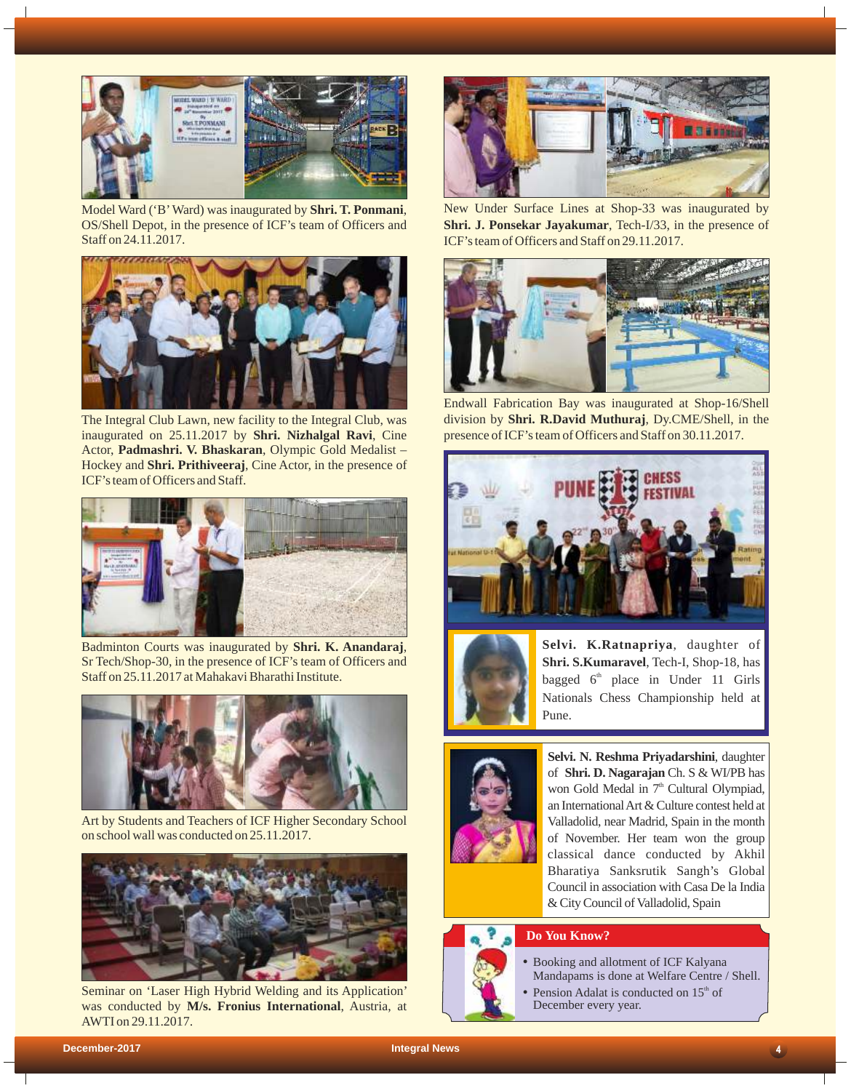

Model Ward ('B'Ward) was inaugurated by **Shri. T. Ponmani**, OS/Shell Depot, in the presence of ICF's team of Officers and Staff on 24.11.2017.



The Integral Club Lawn, new facility to the Integral Club, was inaugurated on 25.11.2017 by **Shri. Nizhalgal Ravi**, Cine Actor, **Padmashri. V. Bhaskaran**, Olympic Gold Medalist – Hockey and **Shri. Prithiveeraj**, Cine Actor, in the presence of ICF's team of Officers and Staff.



Badminton Courts was inaugurated by **Shri. K. Anandaraj**, Sr Tech/Shop-30, in the presence of ICF's team of Officers and Staff on 25.11.2017 at Mahakavi Bharathi Institute.



Art by Students and Teachers of ICF Higher Secondary School on school wall was conducted on 25.11.2017.



Seminar on 'Laser High Hybrid Welding and its Application' was conducted by **M/s. Fronius International**, Austria, at AWTI on 29.11.2017.



New Under Surface Lines at Shop-33 was inaugurated by **Shri. J. Ponsekar Jayakumar**, Tech-I/33, in the presence of ICF's team of Officers and Staff on 29.11.2017.



Endwall Fabrication Bay was inaugurated at Shop-16/Shell division by **Shri. R.David Muthuraj**, Dy.CME/Shell, in the presence of ICF's team of Officers and Staff on 30.11.2017.





**Selvi. K.Ratnapriya**, daughter of **Shri. S.Kumaravel**, Tech-I, Shop-18, has bagged  $6<sup>th</sup>$  place in Under 11 Girls Nationals Chess Championship held at Pune.



**Selvi. N. Reshma Priyadarshini**, daughter of **Shri. D. Nagarajan** Ch. S & WI/PB has won Gold Medal in  $7<sup>th</sup>$  Cultural Olympiad, an International Art & Culture contest held at Valladolid, near Madrid, Spain in the month of November. Her team won the group classical dance conducted by Akhil Bharatiya Sanksrutik Sangh's Global Council in association with Casa De la India & City Council of Valladolid, Spain

# **Do You Know?**



- Booking and allotment of ICF Kalyana Mandapams is done at Welfare Centre / Shell.
- Pension Adalat is conducted on  $15<sup>th</sup>$  of December every year.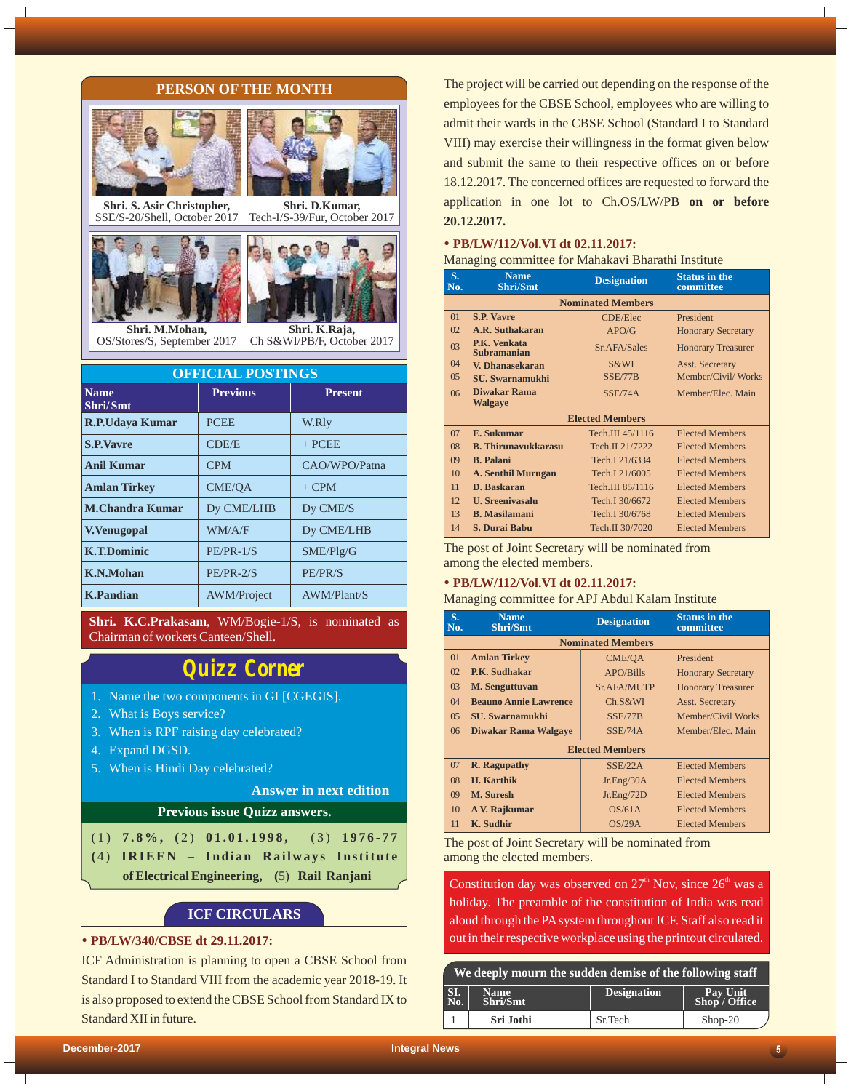## **PERSON OF THE MONTH**



**Shri. S. Asir Christopher,** SSE/S-20/Shell, October 2017







OS/Stores/S, September 2017

| <b>OFFICIAL POSTINGS</b> |                    |                |  |
|--------------------------|--------------------|----------------|--|
| <b>Name</b><br>Shri/Smt  | <b>Previous</b>    | <b>Present</b> |  |
| <b>R.P.Udaya Kumar</b>   | <b>PCEE</b>        | W.Rly          |  |
| <b>S.P.Vavre</b>         | CDE/E              | $+$ PCEE       |  |
| <b>Anil Kumar</b>        | <b>CPM</b>         | CAO/WPO/Patna  |  |
| <b>Amlan Tirkey</b>      | <b>CME/OA</b>      | $+$ CPM        |  |
| <b>M.Chandra Kumar</b>   | Dy CME/LHB         | Dy CME/S       |  |
| <b>V.Venugopal</b>       | WM/A/F             | Dy CME/LHB     |  |
| <b>K.T.Dominic</b>       | $PE/PR-1/S$        | SME/Plg/G      |  |
| K.N.Mohan                | $PE/PR-2/S$        | PE/PR/S        |  |
| <b>K.Pandian</b>         | <b>AWM/Project</b> | AWM/Plant/S    |  |

**Shri. K.C.Prakasam**, WM/Bogie-1/S, is nominated as Chairman of workers Canteen/Shell.

# *Quizz Corner*

- 1. Name the two components in GI [CGEGIS].
- 2. What is Boys service?
- 3. When is RPF raising day celebrated?
- 4. Expand DGSD.
- 5. When is Hindi Day celebrated?

# **Answer in next edition**

## **Previous issue Quizz answers.**

| $(1)$ 7.8%, $(2)$ 01.01.1998, $(3)$ 1976-77 |  |  |
|---------------------------------------------|--|--|
| (4) IRIEEN – Indian Railways Institute      |  |  |
| of Electrical Engineering, (5) Rail Ranjani |  |  |

# **ICF CIRCULARS**

### Ÿ **PB/LW/340/CBSE dt 29.11.2017:**

ICF Administration is planning to open a CBSE School from Standard I to Standard VIII from the academic year 2018-19. It is also proposed to extend the CBSE School from Standard IX to Standard XII in future.

The project will be carried out depending on the response of the employees for the CBSE School, employees who are willing to admit their wards in the CBSE School (Standard I to Standard VIII) may exercise their willingness in the format given below and submit the same to their respective offices on or before 18.12.2017. The concerned offices are requested to forward the application in one lot to Ch.OS/LW/PB **on or before 20.12.2017.**

# • PB/LW/112/Vol.VI dt 02.11.2017:

| S.<br>No. | <b>Name</b><br><b>Shri/Smt</b>           | <b>Designation</b>       | <b>Status in the</b><br>committee |  |  |
|-----------|------------------------------------------|--------------------------|-----------------------------------|--|--|
|           |                                          | <b>Nominated Members</b> |                                   |  |  |
| $_{01}$   | <b>S.P. Vavre</b>                        | <b>CDE/Elec</b>          | President                         |  |  |
| 02        | A.R. Suthakaran                          | APO/G                    | <b>Honorary Secretary</b>         |  |  |
| 03        | <b>P.K. Venkata</b><br>Subramanian       | Sr.AFA/Sales             | <b>Honorary Treasurer</b>         |  |  |
| 04        | V. Dhanasekaran                          | S&WI                     | Asst. Secretary                   |  |  |
| 05        | <b>SU.</b> Swarnamukhi                   | SSE/77B                  | Member/Civil/Works                |  |  |
| 06        | Diwakar Rama                             | SSE/74A                  | Member/Elec. Main                 |  |  |
|           | <b>Walgaye</b><br><b>Elected Members</b> |                          |                                   |  |  |
|           |                                          |                          |                                   |  |  |
| 07        | E. Sukumar                               | Tech.III 45/1116         | <b>Elected Members</b>            |  |  |
| 08        | <b>B. Thirunavukkarasu</b>               | Tech.II 21/7222          | <b>Elected Members</b>            |  |  |
| $^{09}$   | <b>B.</b> Palani                         | Tech.I 21/6334           | <b>Elected Members</b>            |  |  |
| 10        | <b>A. Senthil Murugan</b>                | Tech.I 21/6005           | <b>Elected Members</b>            |  |  |
| 11        | D. Baskaran                              | Tech.III 85/1116         | <b>Elected Members</b>            |  |  |
| 12        | <b>U.</b> Sreenivasalu                   | Tech.I 30/6672           | <b>Elected Members</b>            |  |  |
| 13        | <b>B.</b> Masilamani                     | Tech.I 30/6768           | <b>Elected Members</b>            |  |  |
| 14        | S. Durai Babu                            | Tech.II 30/7020          | <b>Elected Members</b>            |  |  |

The post of Joint Secretary will be nominated from among the elected members.

#### • **PB/LW/112/Vol.VI** dt 02.11.2017:

## Managing committee for APJ Abdul Kalam Institute

| S.<br>No.      | <b>Name</b><br>Shri/Smt      | <b>Designation</b> | <b>Status in the</b><br>committee |  |  |
|----------------|------------------------------|--------------------|-----------------------------------|--|--|
|                | <b>Nominated Members</b>     |                    |                                   |  |  |
| $_{01}$        | <b>Amlan Tirkey</b>          | CME/OA             | President                         |  |  |
| 02             | P.K. Sudhakar                | APO/Bills          | <b>Honorary Secretary</b>         |  |  |
| 03             | M. Senguttuvan               | Sr. AFA/MUTP       | <b>Honorary Treasurer</b>         |  |  |
| $\Omega$ 4     | <b>Beauno Annie Lawrence</b> | Ch.S&WI            | <b>Asst. Secretary</b>            |  |  |
| 0 <sub>5</sub> | <b>SU.</b> Swarnamukhi       | SSE/77B            | Member/Civil Works                |  |  |
| 06             | Diwakar Rama Walgaye         | SSE/74A            | Member/Elec. Main                 |  |  |
|                | <b>Elected Members</b>       |                    |                                   |  |  |
| 07             | <b>R.</b> Ragupathy          | SSE/22A            | <b>Elected Members</b>            |  |  |
| 08             | H. Karthik                   | Jr.Eng/30A         | <b>Elected Members</b>            |  |  |
| $^{09}$        | M. Suresh                    | Jr.Eng/72D         | <b>Elected Members</b>            |  |  |
| 10             | A V. Rajkumar                | OS/61A             | <b>Elected Members</b>            |  |  |
| 11             | <b>K.</b> Sudhir             | OS/29A             | <b>Elected Members</b>            |  |  |

The post of Joint Secretary will be nominated from among the elected members.

Constitution day was observed on  $27<sup>th</sup>$  Nov, since  $26<sup>th</sup>$  was a holiday. The preamble of the constitution of India was read aloud through the PAsystem throughout ICF. Staff also read it out in their respective workplace using the printout circulated.

| We deeply mourn the sudden demise of the following staff |                         |                    |                           |
|----------------------------------------------------------|-------------------------|--------------------|---------------------------|
| SI.<br>No.                                               | <b>Name</b><br>Shri/Smt | <b>Designation</b> | Pay Unit<br>Shop / Office |
|                                                          | Sri Jothi               | Sr.Tech            | $Shop-20$                 |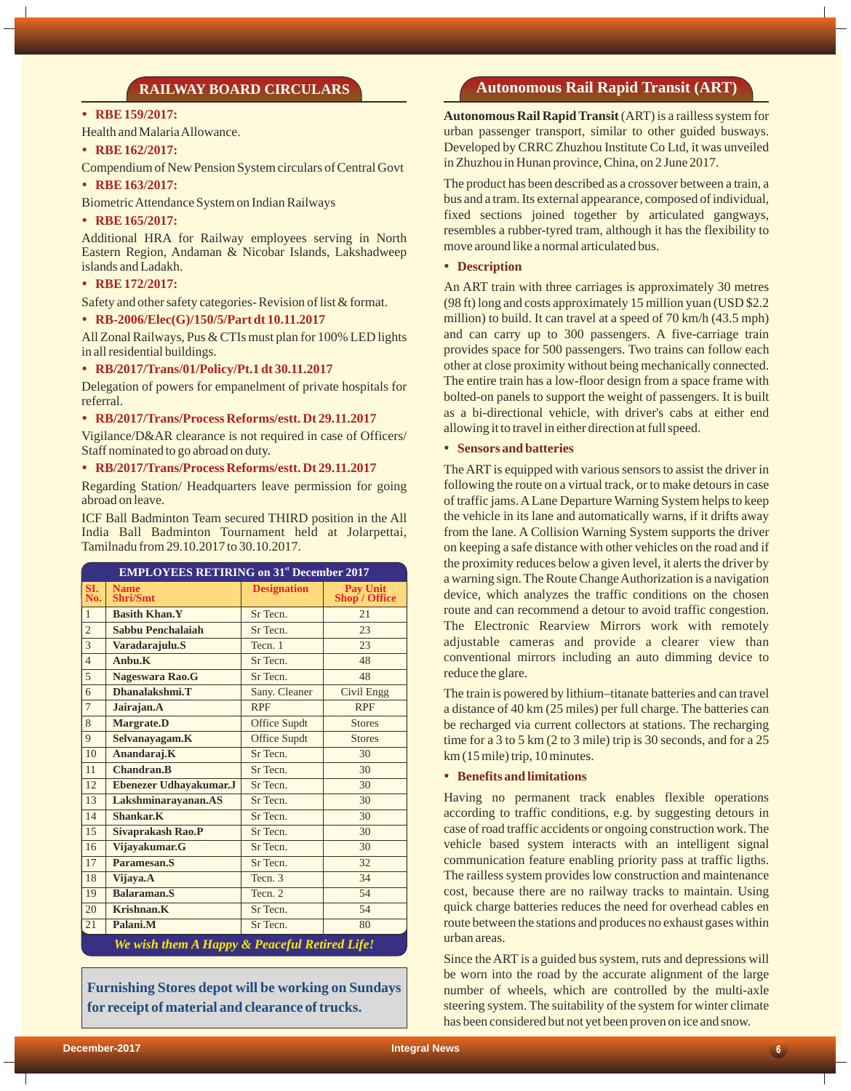# **RAILWAY BOARD CIRCULARS**

#### • RBE 159/2017:

Health and Malaria Allowance .

# • RBE 162/2017:

Compendium of New Pension System circulars of Central Govt

#### • RBE 163/2017:

Biometric Attendance System on Indian Railways

#### • **RBE 165/2017:**

Additional HRA for Railway employees serving in North Eastern Region, Andaman & Nicobar Islands, Lakshadweep islands and Ladakh.

#### • **RBE 172/2017:**

Safety and other safety categories- Revision of list & format.

#### Ÿ **RB-2006/Elec(G)/150/5/Part dt 10.11.2017**

All Zonal Railways, Pus & CTIs must plan for 100% LED lights in all residential buildings.

#### Ÿ **RB/2017/Trans/01/Policy/Pt.1 dt 30.11.2017**

Delegation of powers for empanelment of private hospitals for referral.

## Ÿ **RB/2017/Trans/Process Reforms/estt. Dt 29.11.2017**

Vigilance/D&AR clearance is not required in case of Officers/ Staff nominated to go abroad on duty.

#### Ÿ **RB/2017/Trans/Process Reforms/estt. Dt 29.11.2017**

Regarding Station/ Headquarters leave permission for going abroad on leave.

ICF Ball Badminton Team secured THIRD position in the All India Ball Badminton Tournament held at Jolarpettai, Tamilnadu from 29.10.2017 to 30.10.2017.

| <b>EMPLOYEES RETIRING on 31st December 2017</b> |                                |                     |                           |
|-------------------------------------------------|--------------------------------|---------------------|---------------------------|
| SI.<br>No.                                      | <b>Name</b><br><b>Shri/Smt</b> | <b>Designation</b>  | Pay Unit<br>Shop / Office |
| $\mathbf{1}$                                    | <b>Basith Khan.Y</b>           | Sr Tecn.            | 21                        |
| $\overline{2}$                                  | Sabbu Penchalaiah              | Sr Tecn.            | 23                        |
| $\overline{3}$                                  | Varadarajulu.S                 | Tecn. 1             | 23                        |
| $\overline{4}$                                  | Anbu.K                         | Sr Tecn.            | 48                        |
| 5                                               | Nageswara Rao.G                | Sr Tecn.            | 48                        |
| 6                                               | Dhanalakshmi.T                 | Sany. Cleaner       | <b>Civil Engg</b>         |
| $\overline{7}$                                  | Jairajan.A                     | <b>RPF</b>          | <b>RPF</b>                |
| 8                                               | <b>Margrate.D</b>              | Office Supdt        | <b>Stores</b>             |
| 9                                               | Selvanayagam.K                 | <b>Office Supdt</b> | <b>Stores</b>             |
| 10                                              | Anandaraj.K                    | Sr Tecn.            | 30                        |
| 11                                              | <b>Chandran.B</b>              | Sr Tecn.            | 30                        |
| 12                                              | Ebenezer Udhayakumar.J         | Sr Tecn.            | 30                        |
| 13                                              | Lakshminarayanan.AS            | Sr Tecn.            | 30                        |
| 14                                              | Shankar.K                      | Sr Tecn.            | 30                        |
| 15                                              | <b>Sivaprakash Rao.P</b>       | Sr Tecn.            | 30                        |
| 16                                              | Vijayakumar.G                  | Sr Tecn.            | 30                        |
| 17                                              | Paramesan.S                    | Sr Tecn.            | 32                        |
| 18                                              | Vijaya.A                       | Tecn. 3             | 34                        |
| 19                                              | Balaraman.S                    | Tecn. 2             | 54                        |
| 20                                              | Krishnan.K                     | Sr Tecn.            | 54                        |
| 21                                              | Palani.M                       | Sr Tecn.            | 80                        |
| We wish them A Hanny & Peaceful Retired Life!   |                                |                     |                           |

*We wish them A Happy & Peaceful Retired Life!*

**Furnishing Stores depot will be working on Sundays for receipt of material and clearance of trucks.**

# **Autonomous Rail Rapid Transit (ART)**

**Autonomous Rail Rapid Transit** (ART) is a railless system for urban passenger transport, similar to other guided busways. Developed by CRRC Zhuzhou Institute Co Ltd, it was unveiled in Zhuzhou in Hunan province, China, on 2 June 2017.

The product has been described as a crossover between a train, a bus and a tram. Its external appearance, composed of individual, fixed sections joined together by articulated gangways, resembles a rubber-tyred tram, although it has the flexibility to move around like a normal articulated bus.

## • **Description**

An ART train with three carriages is approximately 30 metres (98 ft) long and costs approximately 15 million yuan (USD \$2.2 million) to build. It can travel at a speed of 70 km/h (43.5 mph) and can carry up to 300 passengers. A five-carriage train provides space for 500 passengers. Two trains can follow each other at close proximity without being mechanically connected. The entire train has a low-floor design from a space frame with bolted-on panels to support the weight of passengers. It is built as a bi-directional vehicle, with driver's cabs at either end allowing it to travel in either direction at full speed.

#### **• Sensors and batteries**

The ART is equipped with various sensors to assist the driver in following the route on a virtual track, or to make detours in case of traffic jams. ALane Departure Warning System helps to keep the vehicle in its lane and automatically warns, if it drifts away from the lane. A Collision Warning System supports the driver on keeping a safe distance with other vehicles on the road and if the proximity reduces below a given level, it alerts the driver by a warning sign. The Route Change Authorization is a navigation device, which analyzes the traffic conditions on the chosen route and can recommend a detour to avoid traffic congestion. The Electronic Rearview Mirrors work with remotely adjustable cameras and provide a clearer view than conventional mirrors including an auto dimming device to reduce the glare.

The train is powered by lithium–titanate batteries and can travel a distance of 40 km (25 miles) per full charge. The batteries can be recharged via current collectors at stations. The recharging time for a 3 to 5 km (2 to 3 mile) trip is 30 seconds, and for a 25 km (15 mile) trip, 10 minutes.

#### **•** Benefits and limitations

Having no permanent track enables flexible operations according to traffic conditions, e.g. by suggesting detours in case of road traffic accidents or ongoing construction work. The vehicle based system interacts with an intelligent signal communication feature enabling priority pass at traffic ligths. The railless system provides low construction and maintenance cost, because there are no railway tracks to maintain. Using quick charge batteries reduces the need for overhead cables en route between the stations and produces no exhaust gases within urban areas.

Since the ART is a guided bus system, ruts and depressions will be worn into the road by the accurate alignment of the large number of wheels, which are controlled by the multi-axle steering system. The suitability of the system for winter climate has been considered but not yet been proven on ice and snow.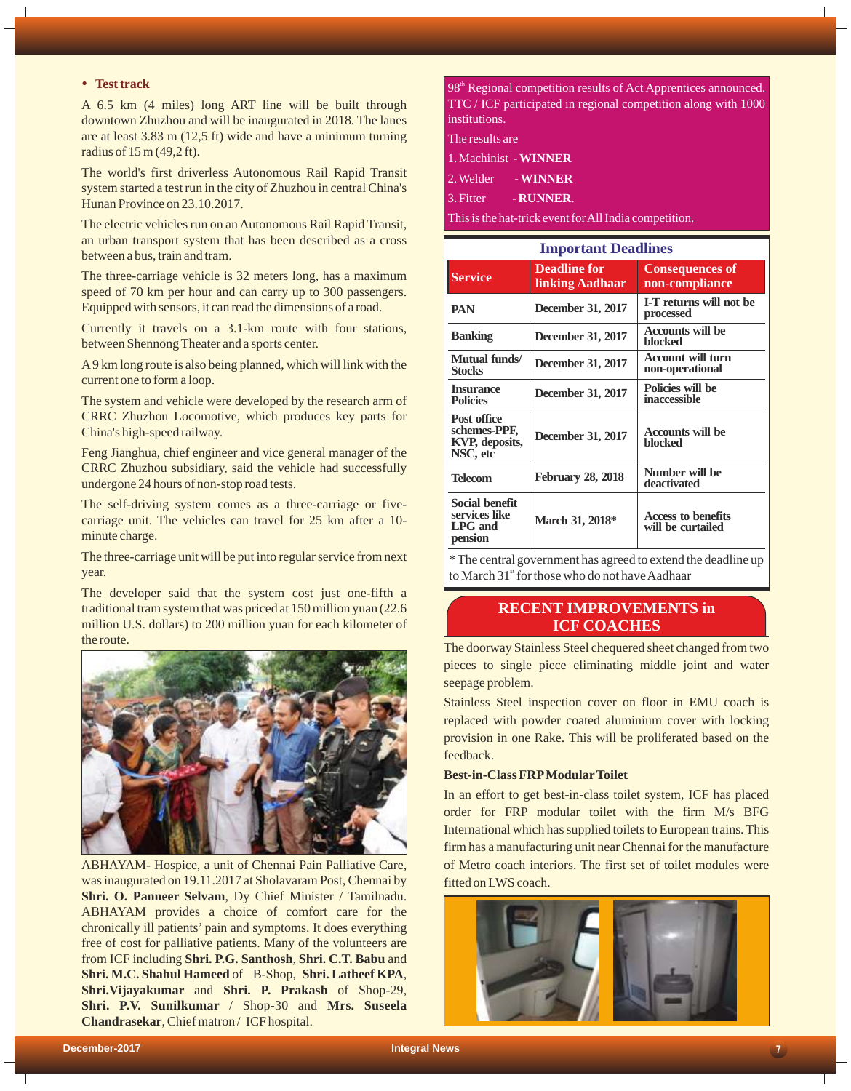# **•** Test track

A 6.5 km (4 miles) long ART line will be built through downtown Zhuzhou and will be inaugurated in 2018. The lanes are at least 3.83 m (12,5 ft) wide and have a minimum turning radius of 15 m (49,2 ft).

The world's first driverless Autonomous Rail Rapid Transit system started a test run in the city of Zhuzhou in central China's Hunan Province on 23.10.2017.

The electric vehicles run on an Autonomous Rail Rapid Transit, an urban transport system that has been described as a cross between a bus, train and tram.

The three-carriage vehicle is 32 meters long, has a maximum speed of 70 km per hour and can carry up to 300 passengers. Equipped with sensors, it can read the dimensions of a road.

Currently it travels on a 3.1-km route with four stations, between Shennong Theater and a sports center.

A9 km long route is also being planned, which will link with the current one to form a loop.

The system and vehicle were developed by the research arm of CRRC Zhuzhou Locomotive, which produces key parts for China's high-speed railway.

Feng Jianghua, chief engineer and vice general manager of the CRRC Zhuzhou subsidiary, said the vehicle had successfully undergone 24 hours of non-stop road tests.

The self-driving system comes as a three-carriage or fivecarriage unit. The vehicles can travel for 25 km after a 10 minute charge.

The three-carriage unit will be put into regular service from next year.

The developer said that the system cost just one-fifth a traditional tram system that was priced at 150 million yuan (22.6 million U.S. dollars) to 200 million yuan for each kilometer of the route.



ABHAYAM- Hospice, a unit of Chennai Pain Palliative Care, was inaugurated on 19.11.2017 at Sholavaram Post, Chennai by **Shri. O. Panneer Selvam**, Dy Chief Minister / Tamilnadu. ABHAYAM provides a choice of comfort care for the chronically ill patients' pain and symptoms. It does everything free of cost for palliative patients. Many of the volunteers are from ICF including **Shri. P.G. Santhosh**, **Shri. C.T. Babu** and **Shri. M.C. Shahul Hameed**of B-Shop, **Shri. Latheef KPA**, **Shri.Vijayakumar** and **Shri. P. Prakash** of Shop-29, **Shri. P.V. Sunilkumar** / Shop-30 and **Mrs. Suseela Chandrasekar**, Chief matron / ICF hospital.

98<sup>th</sup> Regional competition results of Act Apprentices announced. TTC / ICF participated in regional competition along with 1000 institutions.

The results are

2. Welder - **WINNER**

3. Fitter - **RUNNER**.

This is the hat-trick event for All India competition.

| <b>Important Deadlines</b>                                       |                                        |                                             |  |
|------------------------------------------------------------------|----------------------------------------|---------------------------------------------|--|
| <b>Service</b>                                                   | <b>Deadline for</b><br>linking Aadhaar | <b>Consequences of</b><br>non-compliance    |  |
| <b>PAN</b>                                                       | December 31, 2017                      | I-T returns will not be<br>processed        |  |
| <b>Banking</b>                                                   | December 31, 2017                      | <b>Accounts will be</b><br>blocked          |  |
| Mutual funds/<br><b>Stocks</b>                                   | December 31, 2017                      | <b>Account will turn</b><br>non-operational |  |
| <b>Insurance</b><br><b>Policies</b>                              | December 31, 2017                      | Policies will be<br>inaccessible            |  |
| <b>Post office</b><br>schemes-PPF,<br>KVP, deposits,<br>NSC, etc | <b>December 31, 2017</b>               | <b>Accounts will be</b><br>blocked          |  |
| <b>Telecom</b>                                                   | <b>February 28, 2018</b>               | Number will be<br>deactivated               |  |
| <b>Social benefit</b><br>services like<br>LPG and<br>pension     | March 31, 2018*                        | Access to benefits<br>will be curtailed     |  |

\* The central government has agreed to extend the deadline up to March  $31<sup>st</sup>$  for those who do not have Aadhaar

# **RECENT IMPROVEMENTS in ICF COACHES**

The doorway Stainless Steel chequered sheet changed from two pieces to single piece eliminating middle joint and water seepage problem.

Stainless Steel inspection cover on floor in EMU coach is replaced with powder coated aluminium cover with locking provision in one Rake. This will be proliferated based on the feedback.

### **Best-in-Class FRPModularToilet**

In an effort to get best-in-class toilet system, ICF has placed order for FRP modular toilet with the firm M/s BFG International which has supplied toilets to European trains. This firm has a manufacturing unit near Chennai for the manufacture of Metro coach interiors. The first set of toilet modules were fitted on LWS coach.